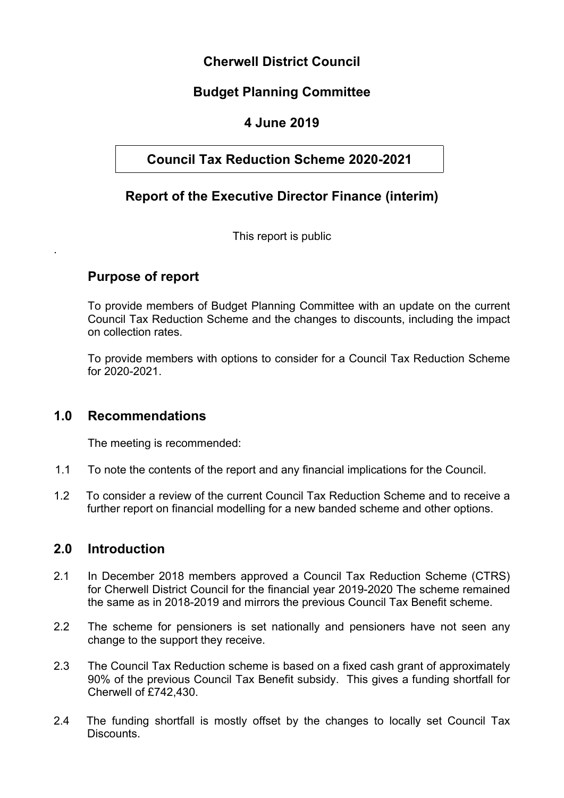# **Cherwell District Council**

# **Budget Planning Committee**

# **4 June 2019**

# **Council Tax Reduction Scheme 2020-2021**

# **Report of the Executive Director Finance (interim)**

This report is public

# **Purpose of report**

.

To provide members of Budget Planning Committee with an update on the current Council Tax Reduction Scheme and the changes to discounts, including the impact on collection rates.

To provide members with options to consider for a Council Tax Reduction Scheme for 2020-2021.

### **1.0 Recommendations**

The meeting is recommended:

- 1.1 To note the contents of the report and any financial implications for the Council.
- 1.2 To consider a review of the current Council Tax Reduction Scheme and to receive a further report on financial modelling for a new banded scheme and other options.

### **2.0 Introduction**

- 2.1 In December 2018 members approved a Council Tax Reduction Scheme (CTRS) for Cherwell District Council for the financial year 2019-2020 The scheme remained the same as in 2018-2019 and mirrors the previous Council Tax Benefit scheme.
- 2.2 The scheme for pensioners is set nationally and pensioners have not seen any change to the support they receive.
- 2.3 The Council Tax Reduction scheme is based on a fixed cash grant of approximately 90% of the previous Council Tax Benefit subsidy. This gives a funding shortfall for Cherwell of £742,430.
- 2.4 The funding shortfall is mostly offset by the changes to locally set Council Tax **Discounts**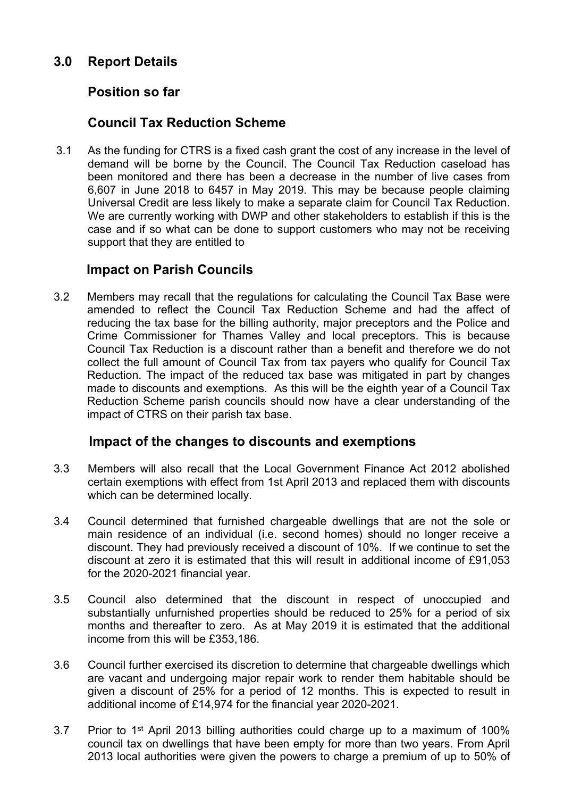# **3.0 Report Details**

# **Position so far**

## **Council Tax Reduction Scheme**

3.1 As the funding for CTRS is a fixed cash grant the cost of any increase in the level of demand will be borne by the Council. The Council Tax Reduction caseload has been monitored and there has been a decrease in the number of live cases from 6,607 in June 2018 to 6457 in May 2019. This may be because people claiming Universal Credit are less likely to make a separate claim for Council Tax Reduction. We are currently working with DWP and other stakeholders to establish if this is the case and if so what can be done to support customers who may not be receiving support that they are entitled to

### **Impact on Parish Councils**

3.2 Members may recall that the regulations for calculating the Council Tax Base were amended to reflect the Council Tax Reduction Scheme and had the affect of reducing the tax base for the billing authority, major preceptors and the Police and Crime Commissioner for Thames Valley and local preceptors. This is because Council Tax Reduction is a discount rather than a benefit and therefore we do not collect the full amount of Council Tax from tax payers who qualify for Council Tax Reduction. The impact of the reduced tax base was mitigated in part by changes made to discounts and exemptions. As this will be the eighth year of a Council Tax Reduction Scheme parish councils should now have a clear understanding of the impact of CTRS on their parish tax base.

### **Impact of the changes to discounts and exemptions**

- 3.3 Members will also recall that the Local Government Finance Act 2012 abolished certain exemptions with effect from 1st April 2013 and replaced them with discounts which can be determined locally.
- 3.4 Council determined that furnished chargeable dwellings that are not the sole or main residence of an individual (i.e. second homes) should no longer receive a discount. They had previously received a discount of 10%. If we continue to set the discount at zero it is estimated that this will result in additional income of £91,053 for the 2020-2021 financial year.
- 3.5 Council also determined that the discount in respect of unoccupied and substantially unfurnished properties should be reduced to 25% for a period of six months and thereafter to zero. As at May 2019 it is estimated that the additional income from this will be £353,186.
- 3.6 Council further exercised its discretion to determine that chargeable dwellings which are vacant and undergoing major repair work to render them habitable should be given a discount of 25% for a period of 12 months. This is expected to result in additional income of £14,974 for the financial year 2020-2021.
- 3.7 Prior to 1<sup>st</sup> April 2013 billing authorities could charge up to a maximum of 100% council tax on dwellings that have been empty for more than two years. From April 2013 local authorities were given the powers to charge a premium of up to 50% of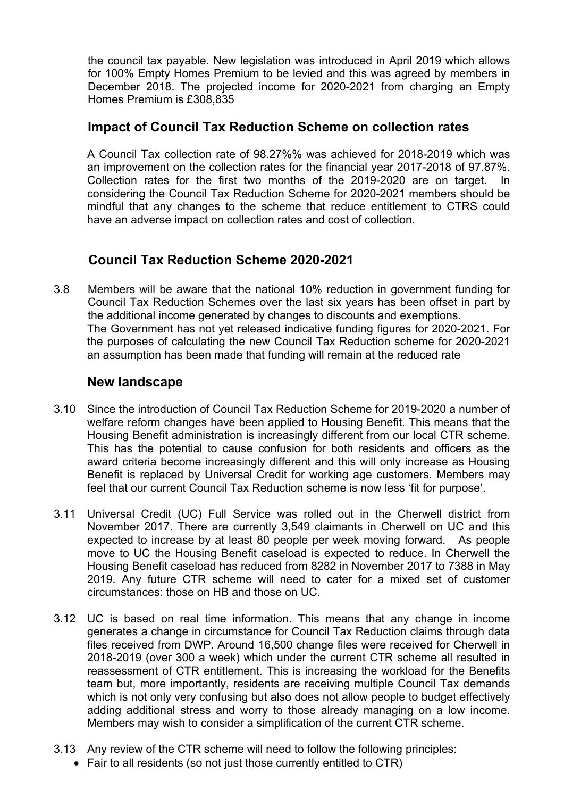the council tax payable. New legislation was introduced in April 2019 which allows for 100% Empty Homes Premium to be levied and this was agreed by members in December 2018. The projected income for 2020-2021 from charging an Empty Homes Premium is £308,835

### **Impact of Council Tax Reduction Scheme on collection rates**

A Council Tax collection rate of 98.27%% was achieved for 2018-2019 which was an improvement on the collection rates for the financial year 2017-2018 of 97.87%. Collection rates for the first two months of the 2019-2020 are on target. In considering the Council Tax Reduction Scheme for 2020-2021 members should be mindful that any changes to the scheme that reduce entitlement to CTRS could have an adverse impact on collection rates and cost of collection.

# **Council Tax Reduction Scheme 2020-2021**

3.8 Members will be aware that the national 10% reduction in government funding for Council Tax Reduction Schemes over the last six years has been offset in part by the additional income generated by changes to discounts and exemptions. The Government has not yet released indicative funding figures for 2020-2021. For the purposes of calculating the new Council Tax Reduction scheme for 2020-2021 an assumption has been made that funding will remain at the reduced rate

### **New landscape**

- 3.10 Since the introduction of Council Tax Reduction Scheme for 2019-2020 a number of welfare reform changes have been applied to Housing Benefit. This means that the Housing Benefit administration is increasingly different from our local CTR scheme. This has the potential to cause confusion for both residents and officers as the award criteria become increasingly different and this will only increase as Housing Benefit is replaced by Universal Credit for working age customers. Members may feel that our current Council Tax Reduction scheme is now less 'fit for purpose'.
- 3.11 Universal Credit (UC) Full Service was rolled out in the Cherwell district from November 2017. There are currently 3,549 claimants in Cherwell on UC and this expected to increase by at least 80 people per week moving forward. As people move to UC the Housing Benefit caseload is expected to reduce. In Cherwell the Housing Benefit caseload has reduced from 8282 in November 2017 to 7388 in May 2019. Any future CTR scheme will need to cater for a mixed set of customer circumstances: those on HB and those on UC.
- 3.12 UC is based on real time information. This means that any change in income generates a change in circumstance for Council Tax Reduction claims through data files received from DWP. Around 16,500 change files were received for Cherwell in 2018-2019 (over 300 a week) which under the current CTR scheme all resulted in reassessment of CTR entitlement. This is increasing the workload for the Benefits team but, more importantly, residents are receiving multiple Council Tax demands which is not only very confusing but also does not allow people to budget effectively adding additional stress and worry to those already managing on a low income. Members may wish to consider a simplification of the current CTR scheme.
- 3.13 Any review of the CTR scheme will need to follow the following principles:
	- Fair to all residents (so not just those currently entitled to CTR)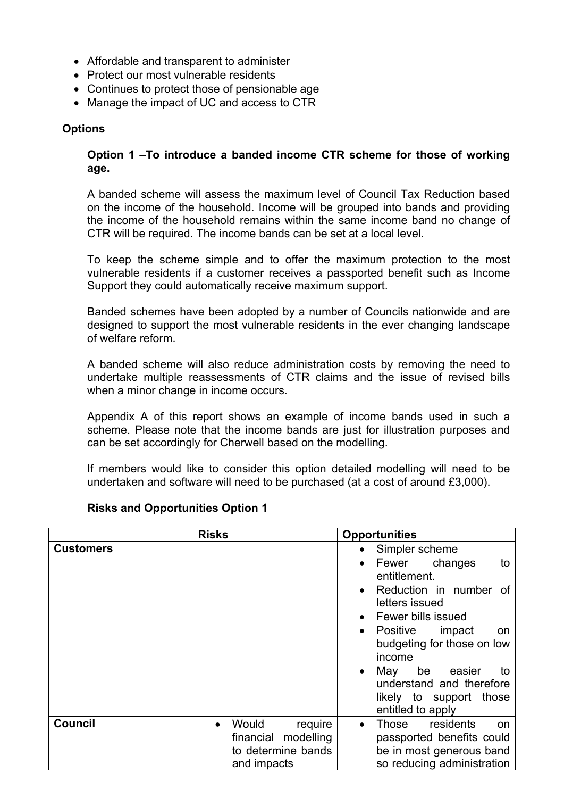- Affordable and transparent to administer
- Protect our most vulnerable residents
- Continues to protect those of pensionable age
- Manage the impact of UC and access to CTR

#### **Options**

#### **Option 1 –To introduce a banded income CTR scheme for those of working age.**

A banded scheme will assess the maximum level of Council Tax Reduction based on the income of the household. Income will be grouped into bands and providing the income of the household remains within the same income band no change of CTR will be required. The income bands can be set at a local level.

To keep the scheme simple and to offer the maximum protection to the most vulnerable residents if a customer receives a passported benefit such as Income Support they could automatically receive maximum support.

Banded schemes have been adopted by a number of Councils nationwide and are designed to support the most vulnerable residents in the ever changing landscape of welfare reform.

A banded scheme will also reduce administration costs by removing the need to undertake multiple reassessments of CTR claims and the issue of revised bills when a minor change in income occurs.

Appendix A of this report shows an example of income bands used in such a scheme. Please note that the income bands are just for illustration purposes and can be set accordingly for Cherwell based on the modelling.

If members would like to consider this option detailed modelling will need to be undertaken and software will need to be purchased (at a cost of around £3,000).

#### **Risks and Opportunities Option 1**

|                  | <b>Risks</b>                                                                 | <b>Opportunities</b>                                                                                                                                                                                                                                                                                                  |
|------------------|------------------------------------------------------------------------------|-----------------------------------------------------------------------------------------------------------------------------------------------------------------------------------------------------------------------------------------------------------------------------------------------------------------------|
| <b>Customers</b> |                                                                              | Simpler scheme<br>Fewer changes<br>to<br>entitlement.<br>Reduction in number of<br>letters issued<br><b>Fewer bills issued</b><br>Positive<br>impact<br>on<br>$\bullet$<br>budgeting for those on low<br>income<br>May<br>be easier<br>to<br>understand and therefore<br>likely to support those<br>entitled to apply |
| <b>Council</b>   | Would<br>require<br>financial modelling<br>to determine bands<br>and impacts | residents<br>Those<br>on<br>passported benefits could<br>be in most generous band<br>so reducing administration                                                                                                                                                                                                       |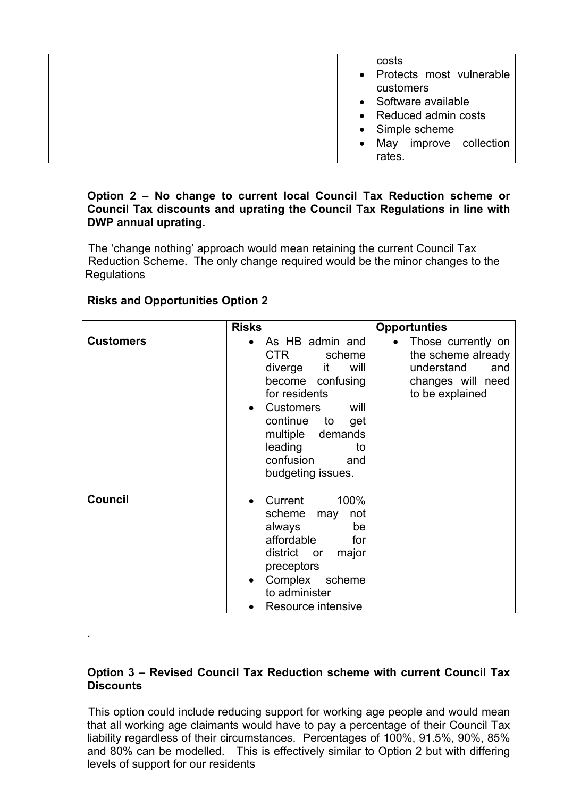| May improve collection |
|------------------------|
|------------------------|

#### **Option 2 – No change to current local Council Tax Reduction scheme or Council Tax discounts and uprating the Council Tax Regulations in line with DWP annual uprating.**

 The 'change nothing' approach would mean retaining the current Council Tax Reduction Scheme. The only change required would be the minor changes to the Regulations

|                  | <b>Risks</b>                                                                                                                                                                                                                                 | <b>Opportunties</b>                                                                                   |
|------------------|----------------------------------------------------------------------------------------------------------------------------------------------------------------------------------------------------------------------------------------------|-------------------------------------------------------------------------------------------------------|
| <b>Customers</b> | As HB admin and<br>CTR.<br>scheme<br>diverge it<br>will<br>become confusing<br>for residents<br><b>Customers</b><br>will<br>$\bullet$<br>continue<br>to<br>get<br>multiple demands<br>leading<br>to<br>confusion<br>and<br>budgeting issues. | Those currently on<br>the scheme already<br>understand<br>and<br>changes will need<br>to be explained |
| <b>Council</b>   | Current<br>100%<br>scheme<br>not<br>may<br>always<br>be<br>affordable<br>for<br>district or<br>major<br>preceptors<br>Complex<br>scheme<br>$\bullet$<br>to administer<br>Resource intensive                                                  |                                                                                                       |

### **Risks and Opportunities Option 2**

.

#### **Option 3 – Revised Council Tax Reduction scheme with current Council Tax Discounts**

 This option could include reducing support for working age people and would mean that all working age claimants would have to pay a percentage of their Council Tax liability regardless of their circumstances. Percentages of 100%, 91.5%, 90%, 85% and 80% can be modelled. This is effectively similar to Option 2 but with differing levels of support for our residents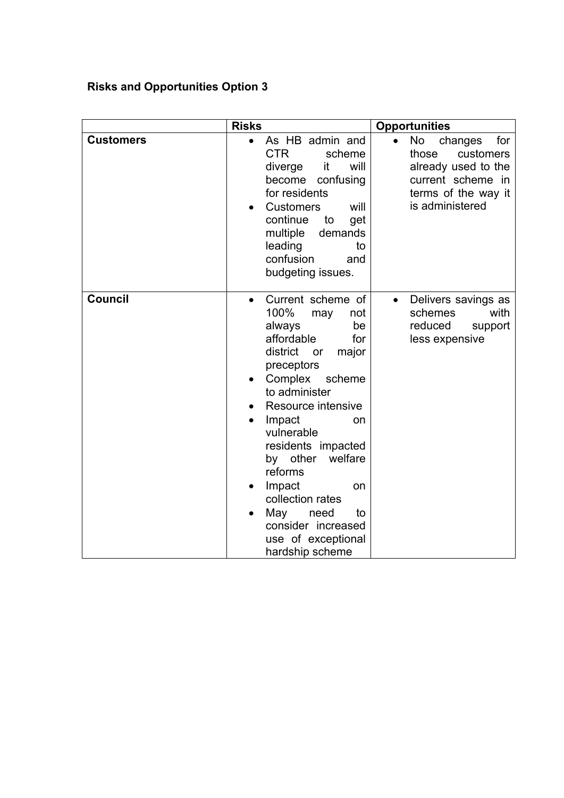# **Risks and Opportunities Option 3**

|                  | <b>Risks</b>                                                                                                                                                                                                                                                                                                                                                                                                              | <b>Opportunities</b>                                                                                                             |
|------------------|---------------------------------------------------------------------------------------------------------------------------------------------------------------------------------------------------------------------------------------------------------------------------------------------------------------------------------------------------------------------------------------------------------------------------|----------------------------------------------------------------------------------------------------------------------------------|
| <b>Customers</b> | As HB admin and<br>$\bullet$<br><b>CTR</b><br>scheme<br>will<br>diverge<br>it<br>become<br>confusing<br>for residents<br><b>Customers</b><br>will<br>continue<br>to<br>get<br>multiple<br>demands<br>leading<br>to<br>confusion<br>and<br>budgeting issues.                                                                                                                                                               | No<br>for<br>changes<br>those<br>customers<br>already used to the<br>current scheme in<br>terms of the way it<br>is administered |
| <b>Council</b>   | Current scheme of<br>$\bullet$<br>100%<br>not<br>may<br>always<br>be<br>affordable<br>for<br>district<br>or<br>major<br>preceptors<br>Complex<br>scheme<br>$\bullet$<br>to administer<br>Resource intensive<br>Impact<br>on<br>vulnerable<br>residents impacted<br>by other<br>welfare<br>reforms<br>Impact<br>on<br>collection rates<br>May<br>need<br>to<br>consider increased<br>use of exceptional<br>hardship scheme | Delivers savings as<br>$\bullet$<br>schemes<br>with<br>reduced<br>support<br>less expensive                                      |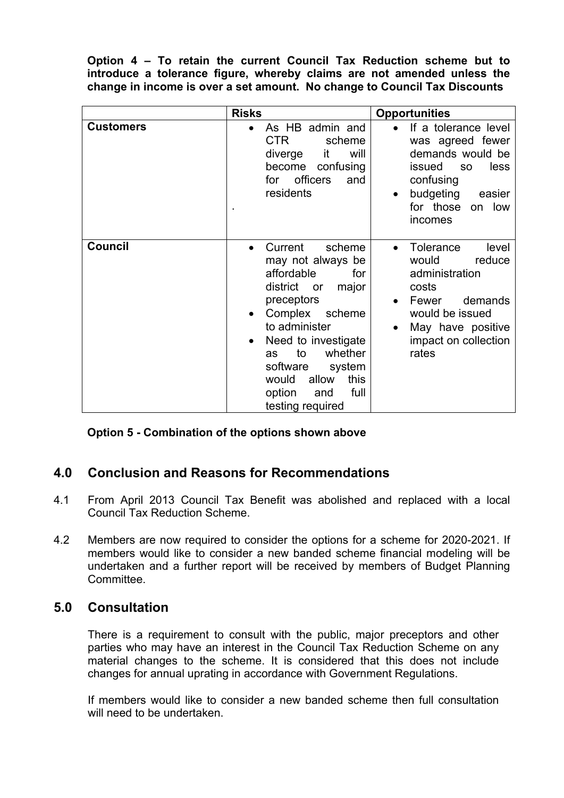**Option 4 – To retain the current Council Tax Reduction scheme but to introduce a tolerance figure, whereby claims are not amended unless the change in income is over a set amount. No change to Council Tax Discounts**

|                  | <b>Risks</b>                                                                                                                                                                                                                                                                                    | <b>Opportunities</b>                                                                                                                                                              |
|------------------|-------------------------------------------------------------------------------------------------------------------------------------------------------------------------------------------------------------------------------------------------------------------------------------------------|-----------------------------------------------------------------------------------------------------------------------------------------------------------------------------------|
| <b>Customers</b> | As HB admin and<br>CTR<br>scheme<br>diverge<br>it<br>will<br>become confusing<br>officers<br>for<br>and<br>residents                                                                                                                                                                            | If a tolerance level<br>was agreed fewer<br>demands would be<br>issued<br>less<br><b>SO</b><br>confusing<br>budgeting<br>easier<br>$\bullet$<br>for those on low<br>incomes       |
| <b>Council</b>   | Current<br>scheme<br>$\bullet$<br>may not always be<br>affordable<br>for<br>district<br>major<br>or<br>preceptors<br>Complex scheme<br>to administer<br>Need to investigate<br>whether<br>to<br>as<br>software<br>system<br>allow<br>would<br>this<br>full<br>option<br>and<br>testing required | <b>Tolerance</b><br>level<br>$\bullet$<br>would<br>reduce<br>administration<br>costs<br>demands<br>Fewer<br>would be issued<br>May have positive<br>impact on collection<br>rates |

**Option 5 - Combination of the options shown above**

### **4.0 Conclusion and Reasons for Recommendations**

- 4.1 From April 2013 Council Tax Benefit was abolished and replaced with a local Council Tax Reduction Scheme.
- 4.2 Members are now required to consider the options for a scheme for 2020-2021. If members would like to consider a new banded scheme financial modeling will be undertaken and a further report will be received by members of Budget Planning Committee.

### **5.0 Consultation**

There is a requirement to consult with the public, major preceptors and other parties who may have an interest in the Council Tax Reduction Scheme on any material changes to the scheme. It is considered that this does not include changes for annual uprating in accordance with Government Regulations.

If members would like to consider a new banded scheme then full consultation will need to be undertaken.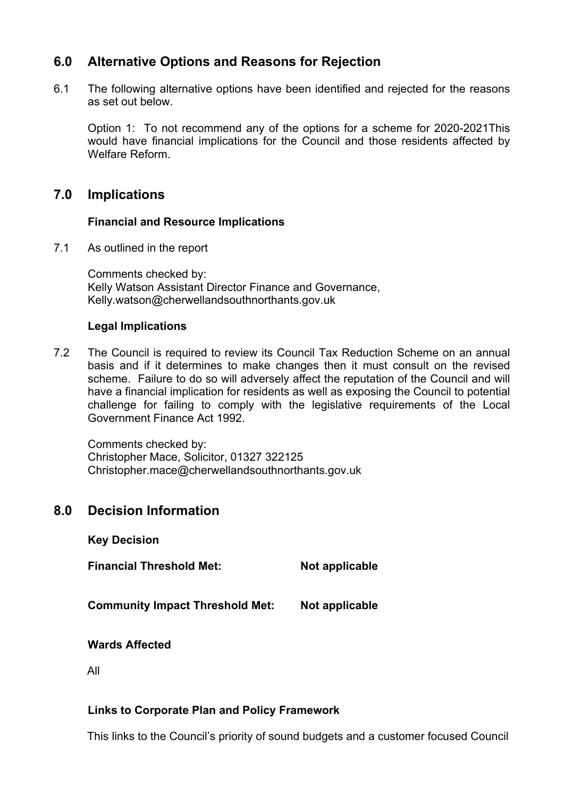# **6.0 Alternative Options and Reasons for Rejection**

6.1 The following alternative options have been identified and rejected for the reasons as set out below.

Option 1: To not recommend any of the options for a scheme for 2020-2021This would have financial implications for the Council and those residents affected by Welfare Reform.

# **7.0 Implications**

### **Financial and Resource Implications**

7.1 As outlined in the report

Comments checked by: Kelly Watson Assistant Director Finance and Governance, Kelly.watson@cherwellandsouthnorthants.gov.uk

#### **Legal Implications**

7.2 The Council is required to review its Council Tax Reduction Scheme on an annual basis and if it determines to make changes then it must consult on the revised scheme. Failure to do so will adversely affect the reputation of the Council and will have a financial implication for residents as well as exposing the Council to potential challenge for failing to comply with the legislative requirements of the Local Government Finance Act 1992.

Comments checked by: Christopher Mace, Solicitor, 01327 322125 Christopher.mace@cherwellandsouthnorthants.gov.uk

# **8.0 Decision Information**

**Key Decision**

**Financial Threshold Met: Not applicable**

**Community Impact Threshold Met: Not applicable**

**Wards Affected**

All

### **Links to Corporate Plan and Policy Framework**

This links to the Council's priority of sound budgets and a customer focused Council